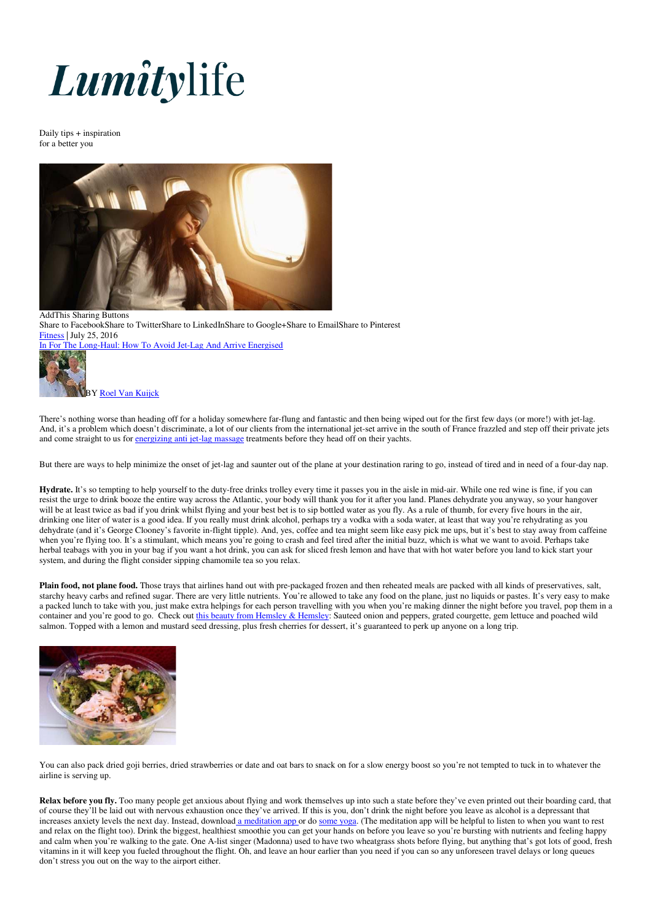

Daily tips + inspiration for a better you



AddThis Sharing Buttons

Share to FacebookShare to TwitterShare to LinkedInShare to Google+Share to EmailShare to Pinterest [Fitness](http://my.lumitylife.co.uk/category/fitness/) | July 25, 2016 [In For The Long-Haul: How To Avoid Jet-Lag And Arrive Energised](http://my.lumitylife.co.uk/2016/07/25/how-to-avoid-jet-lag-and-arrive-energised/) 



B[Y Roel Van Kuijck](http://my.lumitylife.co.uk/author/roel-van-kuijck/) 

There's nothing worse than heading off for a holiday somewhere far-flung and fantastic and then being wiped out for the first few days (or more!) with jet-lag. And, it's a problem which doesn't discriminate, a lot of our clients from the international jet-set arrive in the south of France frazzled and step off their private jets and come straight to us for energizing [anti jet-lag massage](http://www.bluetree-massage.com/en/techniques-used/anti-jetlag/) treatments before they head off on their yachts.

But there are ways to help minimize the onset of jet-lag and saunter out of the plane at your destination raring to go, instead of tired and in need of a four-day nap.

Hydrate. It's so tempting to help yourself to the duty-free drinks trolley every time it passes you in the aisle in mid-air. While one red wine is fine, if you can resist the urge to drink booze the entire way across the Atlantic, your body will thank you for it after you land. Planes dehydrate you anyway, so your hangover will be at least twice as bad if you drink whilst flying and your best bet is to sip bottled water as you fly. As a rule of thumb, for every five hours in the air, drinking one liter of water is a good idea. If you really must drink alcohol, perhaps try a vodka with a soda water, at least that way you're rehydrating as you dehydrate (and it's George Clooney's favorite in-flight tipple). And, yes, coffee and tea might seem like easy pick me ups, but it's best to stay away from caffeine when you're flying too. It's a stimulant, which means you're going to crash and feel tired after the initial buzz, which is what we want to avoid. Perhaps take herbal teabags with you in your bag if you want a hot drink, you can ask for sliced fresh lemon and have that with hot water before you land to kick start your system, and during the flight consider sipping chamomile tea so you relax.

Plain food, not plane food. Those trays that airlines hand out with pre-packaged frozen and then reheated meals are packed with all kinds of preservatives, salt, starchy heavy carbs and refined sugar. There are very little nutrients. You're allowed to take any food on the plane, just no liquids or pastes. It's very easy to make a packed lunch to take with you, just make extra helpings for each person travelling with you when you're making dinner the night before you travel, pop them in a container and you're good to go. Check ou[t this beauty from Hemsley &](http://www.hemsleyandhemsley.com/plane-food-poached-salmon-broccoli-salad-and-mustard-seeds-ourdailyfeed/) Hemsley: Sauteed onion and peppers, grated courgette, gem lettuce and poached wild salmon. Topped with a lemon and mustard seed dressing, plus fresh cherries for dessert, it's guaranteed to perk up anyone on a long trip.



You can also pack dried goji berries, dried strawberries or date and oat bars to snack on for a slow energy boost so you're not tempted to tuck in to whatever the airline is serving up.

Relax before you fly. Too many people get anxious about flying and work themselves up into such a state before they've even printed out their boarding card, that of course they'll be laid out with nervous exhaustion once they've arrived. If this is you, don't drink the night before you leave as alcohol is a depressant that increases anxiety levels the next day. Instead, download [a meditation app o](http://my.lumitylife.com/2016/07/06/meditation-101/)r d[o some yoga.](http://my.lumitylife.com/2016/07/19/jennifer-anistons-easy-10-minute-happiness-workout/) (The meditation app will be helpful to listen to when you want to rest and relax on the flight too). Drink the biggest, healthiest smoothie you can get your hands on before you leave so you're bursting with nutrients and feeling happy and calm when you're walking to the gate. One A-list singer (Madonna) used to have two wheatgrass shots before flying, but anything that's got lots of good, fresh vitamins in it will keep you fueled throughout the flight. Oh, and leave an hour earlier than you need if you can so any unforeseen travel delays or long queues don't stress you out on the way to the airport either.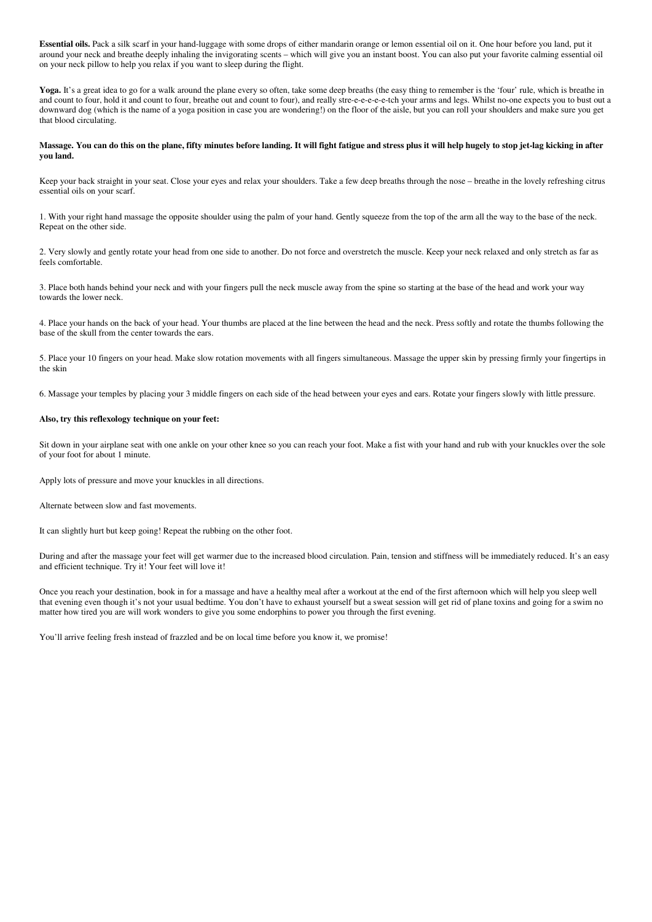**Essential oils.** Pack a silk scarf in your hand-luggage with some drops of either mandarin orange or lemon essential oil on it. One hour before you land, put it around your neck and breathe deeply inhaling the invigorating scents – which will give you an instant boost. You can also put your favorite calming essential oil on your neck pillow to help you relax if you want to sleep during the flight.

Yoga. It's a great idea to go for a walk around the plane every so often, take some deep breaths (the easy thing to remember is the 'four' rule, which is breathe in and count to four, hold it and count to four, breathe out and count to four), and really stre-e-e-e-e-tch your arms and legs. Whilst no-one expects you to bust out a downward dog (which is the name of a yoga position in case you are wondering!) on the floor of the aisle, but you can roll your shoulders and make sure you get that blood circulating.

#### **Massage. You can do this on the plane, fifty minutes before landing. It will fight fatigue and stress plus it will help hugely to stop jet-lag kicking in after you land.**

Keep your back straight in your seat. Close your eyes and relax your shoulders. Take a few deep breaths through the nose – breathe in the lovely refreshing citrus essential oils on your scarf.

1. With your right hand massage the opposite shoulder using the palm of your hand. Gently squeeze from the top of the arm all the way to the base of the neck. Repeat on the other side.

2. Very slowly and gently rotate your head from one side to another. Do not force and overstretch the muscle. Keep your neck relaxed and only stretch as far as feels comfortable.

3. Place both hands behind your neck and with your fingers pull the neck muscle away from the spine so starting at the base of the head and work your way towards the lower neck.

4. Place your hands on the back of your head. Your thumbs are placed at the line between the head and the neck. Press softly and rotate the thumbs following the base of the skull from the center towards the ears.

5. Place your 10 fingers on your head. Make slow rotation movements with all fingers simultaneous. Massage the upper skin by pressing firmly your fingertips in the skin

6. Massage your temples by placing your 3 middle fingers on each side of the head between your eyes and ears. Rotate your fingers slowly with little pressure.

### **Also, try this reflexology technique on your feet:**

Sit down in your airplane seat with one ankle on your other knee so you can reach your foot. Make a fist with your hand and rub with your knuckles over the sole of your foot for about 1 minute.

Apply lots of pressure and move your knuckles in all directions.

Alternate between slow and fast movements.

It can slightly hurt but keep going! Repeat the rubbing on the other foot.

During and after the massage your feet will get warmer due to the increased blood circulation. Pain, tension and stiffness will be immediately reduced. It's an easy and efficient technique. Try it! Your feet will love it!

Once you reach your destination, book in for a massage and have a healthy meal after a workout at the end of the first afternoon which will help you sleep well that evening even though it's not your usual bedtime. You don't have to exhaust yourself but a sweat session will get rid of plane toxins and going for a swim no matter how tired you are will work wonders to give you some endorphins to power you through the first evening.

You'll arrive feeling fresh instead of frazzled and be on local time before you know it, we promise!